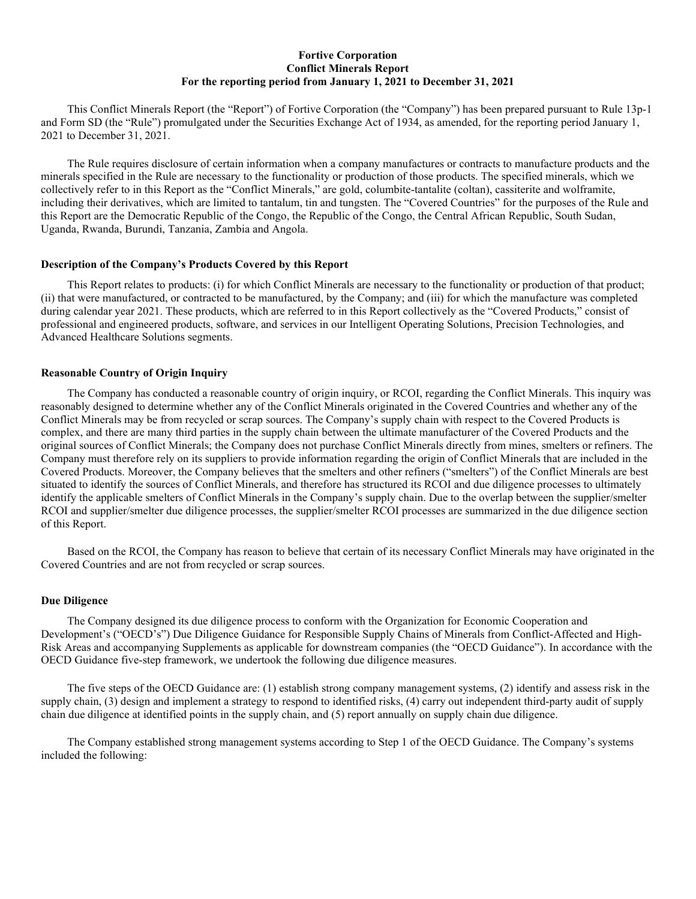## **Fortive Corporation Conflict Minerals Report For the reporting period from January 1, 2021 to December 31, 2021**

This Conflict Minerals Report (the "Report") of Fortive Corporation (the "Company") has been prepared pursuant to Rule 13p-1 and Form SD (the "Rule") promulgated under the Securities Exchange Act of 1934, as amended, for the reporting period January 1, 2021 to December 31, 2021.

The Rule requires disclosure of certain information when a company manufactures or contracts to manufacture products and the minerals specified in the Rule are necessary to the functionality or production of those products. The specified minerals, which we collectively refer to in this Report as the "Conflict Minerals," are gold, columbite-tantalite (coltan), cassiterite and wolframite, including their derivatives, which are limited to tantalum, tin and tungsten. The "Covered Countries" for the purposes of the Rule and this Report are the Democratic Republic of the Congo, the Republic of the Congo, the Central African Republic, South Sudan, Uganda, Rwanda, Burundi, Tanzania, Zambia and Angola.

### **Description of the Company's Products Covered by this Report**

This Report relates to products: (i) for which Conflict Minerals are necessary to the functionality or production of that product; (ii) that were manufactured, or contracted to be manufactured, by the Company; and (iii) for which the manufacture was completed during calendar year 2021. These products, which are referred to in this Report collectively as the "Covered Products," consist of professional and engineered products, software, and services in our Intelligent Operating Solutions, Precision Technologies, and Advanced Healthcare Solutions segments.

#### **Reasonable Country of Origin Inquiry**

The Company has conducted a reasonable country of origin inquiry, or RCOI, regarding the Conflict Minerals. This inquiry was reasonably designed to determine whether any of the Conflict Minerals originated in the Covered Countries and whether any of the Conflict Minerals may be from recycled or scrap sources. The Company's supply chain with respect to the Covered Products is complex, and there are many third parties in the supply chain between the ultimate manufacturer of the Covered Products and the original sources of Conflict Minerals; the Company does not purchase Conflict Minerals directly from mines, smelters or refiners. The Company must therefore rely on its suppliers to provide information regarding the origin of Conflict Minerals that are included in the Covered Products. Moreover, the Company believes that the smelters and other refiners ("smelters") of the Conflict Minerals are best situated to identify the sources of Conflict Minerals, and therefore has structured its RCOI and due diligence processes to ultimately identify the applicable smelters of Conflict Minerals in the Company's supply chain. Due to the overlap between the supplier/smelter RCOI and supplier/smelter due diligence processes, the supplier/smelter RCOI processes are summarized in the due diligence section of this Report.

Based on the RCOI, the Company has reason to believe that certain of its necessary Conflict Minerals may have originated in the Covered Countries and are not from recycled or scrap sources.

## **Due Diligence**

The Company designed its due diligence process to conform with the Organization for Economic Cooperation and Development's ("OECD's") Due Diligence Guidance for Responsible Supply Chains of Minerals from Conflict-Affected and High-Risk Areas and accompanying Supplements as applicable for downstream companies (the "OECD Guidance"). In accordance with the OECD Guidance five-step framework, we undertook the following due diligence measures.

The five steps of the OECD Guidance are: (1) establish strong company management systems, (2) identify and assess risk in the supply chain, (3) design and implement a strategy to respond to identified risks, (4) carry out independent third-party audit of supply chain due diligence at identified points in the supply chain, and (5) report annually on supply chain due diligence.

The Company established strong management systems according to Step 1 of the OECD Guidance. The Company's systems included the following: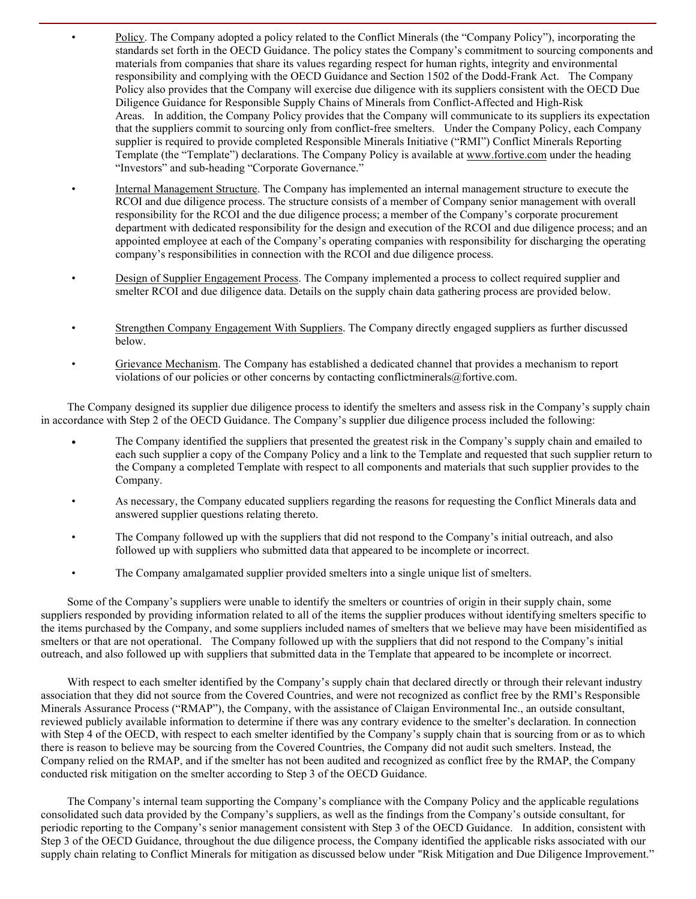• Policy. The Company adopted a policy related to the Conflict Minerals (the "Company Policy"), incorporating the standards set forth in the OECD Guidance. The policy states the Company's commitment to sourcing components and materials from companies that share its values regarding respect for human rights, integrity and environmental responsibility and complying with the OECD Guidance and Section 1502 of the Dodd-Frank Act. The Company Policy also provides that the Company will exercise due diligence with its suppliers consistent with the OECD Due Diligence Guidance for Responsible Supply Chains of Minerals from Conflict-Affected and High-Risk Areas. In addition, the Company Policy provides that the Company will communicate to its suppliers its expectation that the suppliers commit to sourcing only from conflict-free smelters. Under the Company Policy, each Company supplier is required to provide completed Responsible Minerals Initiative ("RMI") Conflict Minerals Reporting Template (the "Template") declarations. The Company Policy is available at www.fortive.com under the heading "Investors" and sub-heading "Corporate Governance."

- Internal Management Structure. The Company has implemented an internal management structure to execute the RCOI and due diligence process. The structure consists of a member of Company senior management with overall responsibility for the RCOI and the due diligence process; a member of the Company's corporate procurement department with dedicated responsibility for the design and execution of the RCOI and due diligence process; and an appointed employee at each of the Company's operating companies with responsibility for discharging the operating company's responsibilities in connection with the RCOI and due diligence process.
- Design of Supplier Engagement Process. The Company implemented a process to collect required supplier and smelter RCOI and due diligence data. Details on the supply chain data gathering process are provided below.
- Strengthen Company Engagement With Suppliers. The Company directly engaged suppliers as further discussed below.
- Grievance Mechanism. The Company has established a dedicated channel that provides a mechanism to report violations of our policies or other concerns by contacting conflictminerals@fortive.com.

The Company designed its supplier due diligence process to identify the smelters and assess risk in the Company's supply chain in accordance with Step 2 of the OECD Guidance. The Company's supplier due diligence process included the following:

- The Company identified the suppliers that presented the greatest risk in the Company's supply chain and emailed to each such supplier a copy of the Company Policy and a link to the Template and requested that such supplier return to the Company a completed Template with respect to all components and materials that such supplier provides to the Company.
- As necessary, the Company educated suppliers regarding the reasons for requesting the Conflict Minerals data and answered supplier questions relating thereto.
- The Company followed up with the suppliers that did not respond to the Company's initial outreach, and also followed up with suppliers who submitted data that appeared to be incomplete or incorrect.
- The Company amalgamated supplier provided smelters into a single unique list of smelters.

Some of the Company's suppliers were unable to identify the smelters or countries of origin in their supply chain, some suppliers responded by providing information related to all of the items the supplier produces without identifying smelters specific to the items purchased by the Company, and some suppliers included names of smelters that we believe may have been misidentified as smelters or that are not operational. The Company followed up with the suppliers that did not respond to the Company's initial outreach, and also followed up with suppliers that submitted data in the Template that appeared to be incomplete or incorrect.

With respect to each smelter identified by the Company's supply chain that declared directly or through their relevant industry association that they did not source from the Covered Countries, and were not recognized as conflict free by the RMI's Responsible Minerals Assurance Process ("RMAP"), the Company, with the assistance of Claigan Environmental Inc., an outside consultant, reviewed publicly available information to determine if there was any contrary evidence to the smelter's declaration. In connection with Step 4 of the OECD, with respect to each smelter identified by the Company's supply chain that is sourcing from or as to which there is reason to believe may be sourcing from the Covered Countries, the Company did not audit such smelters. Instead, the Company relied on the RMAP, and if the smelter has not been audited and recognized as conflict free by the RMAP, the Company conducted risk mitigation on the smelter according to Step 3 of the OECD Guidance.

The Company's internal team supporting the Company's compliance with the Company Policy and the applicable regulations consolidated such data provided by the Company's suppliers, as well as the findings from the Company's outside consultant, for periodic reporting to the Company's senior management consistent with Step 3 of the OECD Guidance. In addition, consistent with Step 3 of the OECD Guidance, throughout the due diligence process, the Company identified the applicable risks associated with our supply chain relating to Conflict Minerals for mitigation as discussed below under "Risk Mitigation and Due Diligence Improvement."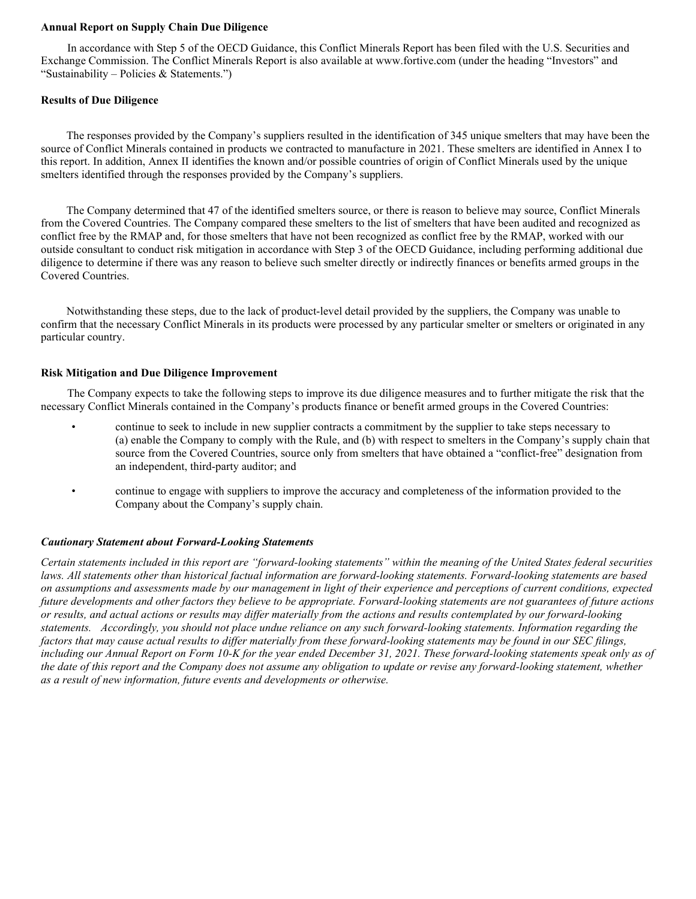#### **Annual Report on Supply Chain Due Diligence**

In accordance with Step 5 of the OECD Guidance, this Conflict Minerals Report has been filed with the U.S. Securities and Exchange Commission. The Conflict Minerals Report is also available at www.fortive.com (under the heading "Investors" and "Sustainability – Policies & Statements.")

### **Results of Due Diligence**

The responses provided by the Company's suppliers resulted in the identification of 345 unique smelters that may have been the source of Conflict Minerals contained in products we contracted to manufacture in 2021. These smelters are identified in Annex I to this report. In addition, Annex II identifies the known and/or possible countries of origin of Conflict Minerals used by the unique smelters identified through the responses provided by the Company's suppliers.

The Company determined that 47 of the identified smelters source, or there is reason to believe may source, Conflict Minerals from the Covered Countries. The Company compared these smelters to the list of smelters that have been audited and recognized as conflict free by the RMAP and, for those smelters that have not been recognized as conflict free by the RMAP, worked with our outside consultant to conduct risk mitigation in accordance with Step 3 of the OECD Guidance, including performing additional due diligence to determine if there was any reason to believe such smelter directly or indirectly finances or benefits armed groups in the Covered Countries.

Notwithstanding these steps, due to the lack of product-level detail provided by the suppliers, the Company was unable to confirm that the necessary Conflict Minerals in its products were processed by any particular smelter or smelters or originated in any particular country.

#### **Risk Mitigation and Due Diligence Improvement**

The Company expects to take the following steps to improve its due diligence measures and to further mitigate the risk that the necessary Conflict Minerals contained in the Company's products finance or benefit armed groups in the Covered Countries:

- continue to seek to include in new supplier contracts a commitment by the supplier to take steps necessary to (a) enable the Company to comply with the Rule, and (b) with respect to smelters in the Company's supply chain that source from the Covered Countries, source only from smelters that have obtained a "conflict-free" designation from an independent, third-party auditor; and
- continue to engage with suppliers to improve the accuracy and completeness of the information provided to the Company about the Company's supply chain.

### *Cautionary Statement about Forward-Looking Statements*

*Certain statements included in this report are "forward-looking statements" within the meaning of the United States federal securities laws. All statements other than historical factual information are forward-looking statements. Forward-looking statements are based on assumptions and assessments made by our management in light of their experience and perceptions of current conditions, expected future developments and other factors they believe to be appropriate. Forward-looking statements are not guarantees of future actions or results, and actual actions or results may differ materially from the actions and results contemplated by our forward-looking statements. Accordingly, you should not place undue reliance on any such forward-looking statements. Information regarding the factors that may cause actual results to differ materially from these forward-looking statements may be found in our SEC filings, including our Annual Report on Form 10-K for the year ended December 31, 2021. These forward-looking statements speak only as of the date of this report and the Company does not assume any obligation to update or revise any forward-looking statement, whether as a result of new information, future events and developments or otherwise.*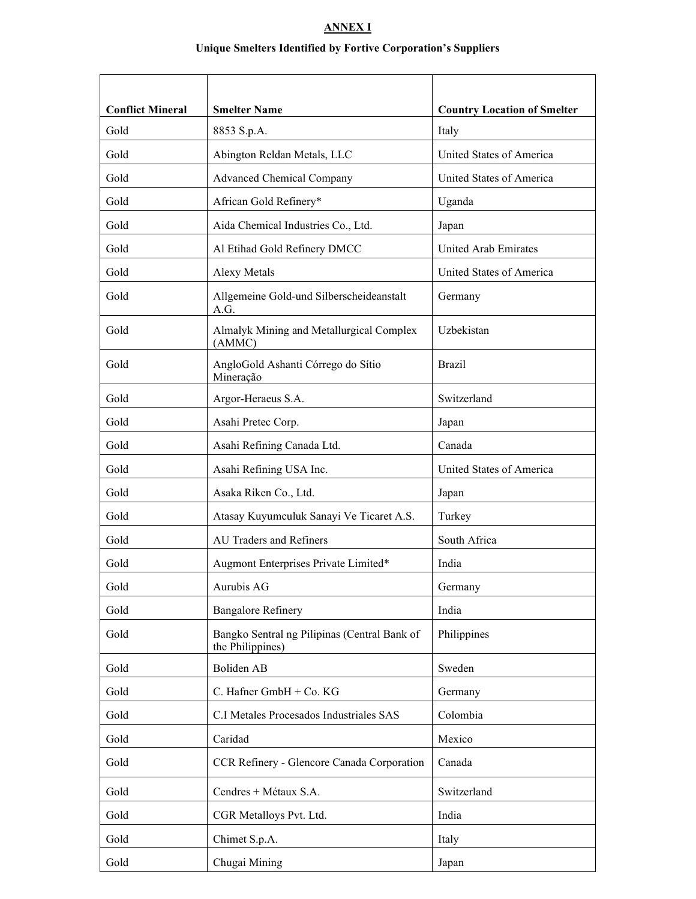# **ANNEX I**

# **Unique Smelters Identified by Fortive Corporation's Suppliers**

| <b>Conflict Mineral</b> | <b>Smelter Name</b>                                              | <b>Country Location of Smelter</b> |
|-------------------------|------------------------------------------------------------------|------------------------------------|
| Gold                    | 8853 S.p.A.                                                      | Italy                              |
| Gold                    | Abington Reldan Metals, LLC                                      | United States of America           |
| Gold                    | <b>Advanced Chemical Company</b>                                 | United States of America           |
| Gold                    | African Gold Refinery*                                           | Uganda                             |
| Gold                    | Aida Chemical Industries Co., Ltd.                               | Japan                              |
| Gold                    | Al Etihad Gold Refinery DMCC                                     | United Arab Emirates               |
| Gold                    | Alexy Metals                                                     | United States of America           |
| Gold                    | Allgemeine Gold-und Silberscheideanstalt<br>A.G.                 | Germany                            |
| Gold                    | Almalyk Mining and Metallurgical Complex<br>(AMMC)               | Uzbekistan                         |
| Gold                    | AngloGold Ashanti Córrego do Sítio<br>Mineração                  | <b>Brazil</b>                      |
| Gold                    | Argor-Heraeus S.A.                                               | Switzerland                        |
| Gold                    | Asahi Pretec Corp.                                               | Japan                              |
| Gold                    | Asahi Refining Canada Ltd.                                       | Canada                             |
| Gold                    | Asahi Refining USA Inc.                                          | United States of America           |
| Gold                    | Asaka Riken Co., Ltd.                                            | Japan                              |
| Gold                    | Atasay Kuyumculuk Sanayi Ve Ticaret A.S.                         | Turkey                             |
| Gold                    | <b>AU Traders and Refiners</b>                                   | South Africa                       |
| Gold                    | Augmont Enterprises Private Limited*                             | India                              |
| Gold                    | Aurubis AG                                                       | Germany                            |
| Gold                    | <b>Bangalore Refinery</b>                                        | India                              |
| Gold                    | Bangko Sentral ng Pilipinas (Central Bank of<br>the Philippines) | Philippines                        |
| Gold                    | Boliden AB                                                       | Sweden                             |
| Gold                    | C. Hafner GmbH + Co. KG                                          | Germany                            |
| Gold                    | C.I Metales Procesados Industriales SAS                          | Colombia                           |
| Gold                    | Caridad                                                          | Mexico                             |
| Gold                    | CCR Refinery - Glencore Canada Corporation                       | Canada                             |
| Gold                    | Cendres + Métaux S.A.                                            | Switzerland                        |
| Gold                    | CGR Metalloys Pvt. Ltd.                                          | India                              |
| Gold                    | Chimet S.p.A.                                                    | Italy                              |
| Gold                    | Chugai Mining                                                    | Japan                              |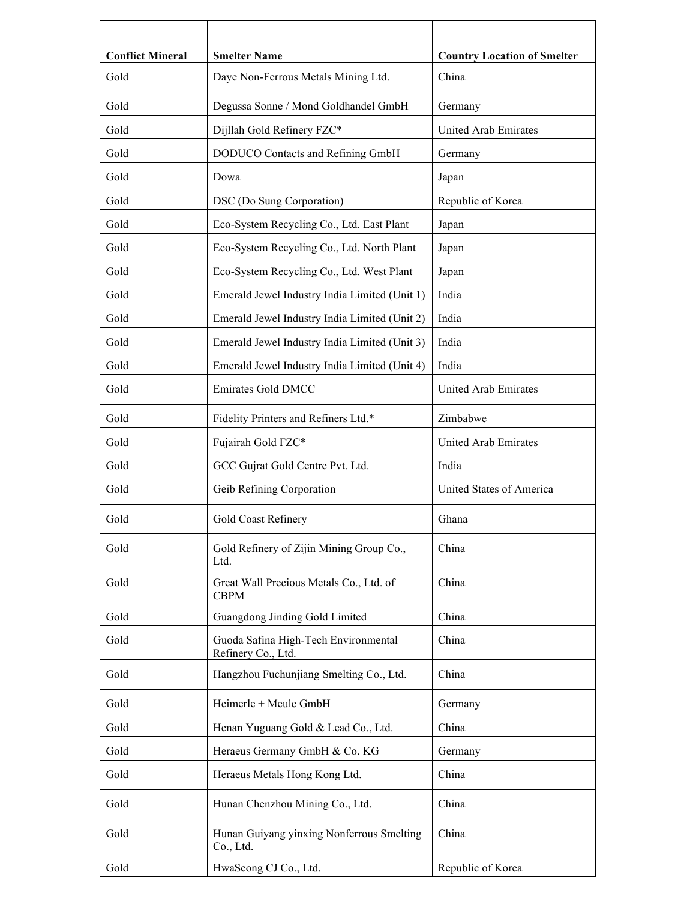| <b>Conflict Mineral</b> | <b>Smelter Name</b>                                        | <b>Country Location of Smelter</b> |
|-------------------------|------------------------------------------------------------|------------------------------------|
| Gold                    | Daye Non-Ferrous Metals Mining Ltd.                        | China                              |
| Gold                    | Degussa Sonne / Mond Goldhandel GmbH                       | Germany                            |
| Gold                    | Dijllah Gold Refinery FZC*                                 | United Arab Emirates               |
| Gold                    | DODUCO Contacts and Refining GmbH                          | Germany                            |
| Gold                    | Dowa                                                       | Japan                              |
| Gold                    | DSC (Do Sung Corporation)                                  | Republic of Korea                  |
| Gold                    | Eco-System Recycling Co., Ltd. East Plant                  | Japan                              |
| Gold                    | Eco-System Recycling Co., Ltd. North Plant                 | Japan                              |
| Gold                    | Eco-System Recycling Co., Ltd. West Plant                  | Japan                              |
| Gold                    | Emerald Jewel Industry India Limited (Unit 1)              | India                              |
| Gold                    | Emerald Jewel Industry India Limited (Unit 2)              | India                              |
| Gold                    | Emerald Jewel Industry India Limited (Unit 3)              | India                              |
| Gold                    | Emerald Jewel Industry India Limited (Unit 4)              | India                              |
| Gold                    | <b>Emirates Gold DMCC</b>                                  | United Arab Emirates               |
| Gold                    | Fidelity Printers and Refiners Ltd.*                       | Zimbabwe                           |
| Gold                    | Fujairah Gold FZC*                                         | United Arab Emirates               |
| Gold                    | GCC Gujrat Gold Centre Pvt. Ltd.                           | India                              |
| Gold                    | Geib Refining Corporation                                  | United States of America           |
| Gold                    | Gold Coast Refinery                                        | Ghana                              |
| Gold                    | Gold Refinery of Zijin Mining Group Co.,<br>Ltd.           | China                              |
| Gold                    | Great Wall Precious Metals Co., Ltd. of<br><b>CBPM</b>     | China                              |
| Gold                    | Guangdong Jinding Gold Limited                             | China                              |
| Gold                    | Guoda Safina High-Tech Environmental<br>Refinery Co., Ltd. | China                              |
| Gold                    | Hangzhou Fuchunjiang Smelting Co., Ltd.                    | China                              |
| Gold                    | Heimerle + Meule GmbH                                      | Germany                            |
| Gold                    | Henan Yuguang Gold & Lead Co., Ltd.                        | China                              |
| Gold                    | Heraeus Germany GmbH & Co. KG                              | Germany                            |
| Gold                    | Heraeus Metals Hong Kong Ltd.                              | China                              |
| Gold                    | Hunan Chenzhou Mining Co., Ltd.                            | China                              |
| Gold                    | Hunan Guiyang yinxing Nonferrous Smelting<br>Co., Ltd.     | China                              |
| Gold                    | HwaSeong CJ Co., Ltd.                                      | Republic of Korea                  |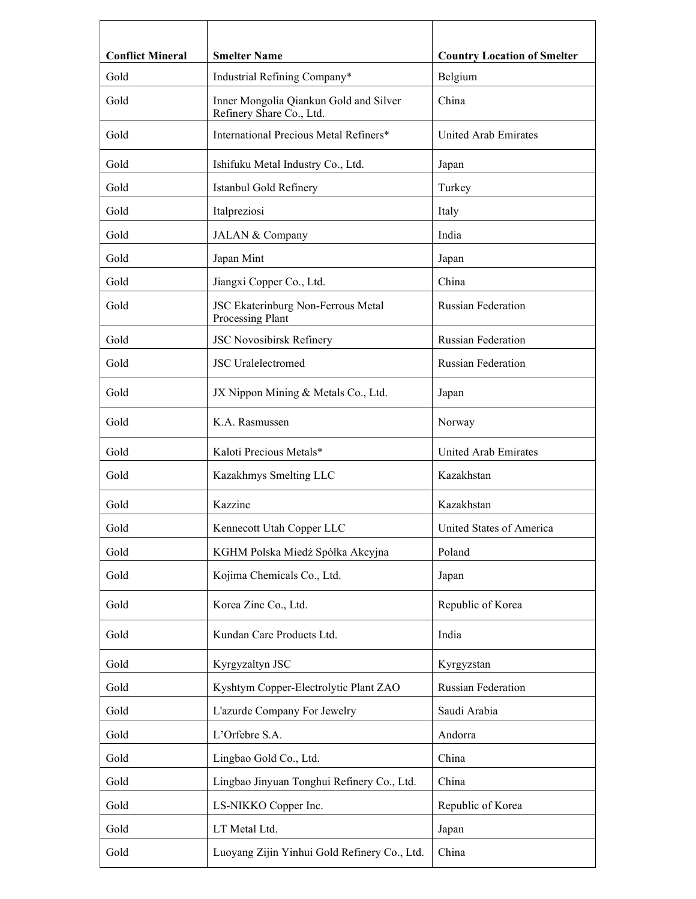| <b>Conflict Mineral</b> | <b>Smelter Name</b>                                                | <b>Country Location of Smelter</b> |
|-------------------------|--------------------------------------------------------------------|------------------------------------|
| Gold                    | Industrial Refining Company*                                       | Belgium                            |
| Gold                    | Inner Mongolia Qiankun Gold and Silver<br>Refinery Share Co., Ltd. | China                              |
| Gold                    | International Precious Metal Refiners*                             | United Arab Emirates               |
| Gold                    | Ishifuku Metal Industry Co., Ltd.                                  | Japan                              |
| Gold                    | Istanbul Gold Refinery                                             | Turkey                             |
| Gold                    | Italpreziosi                                                       | Italy                              |
| Gold                    | JALAN & Company                                                    | India                              |
| Gold                    | Japan Mint                                                         | Japan                              |
| Gold                    | Jiangxi Copper Co., Ltd.                                           | China                              |
| Gold                    | JSC Ekaterinburg Non-Ferrous Metal<br>Processing Plant             | <b>Russian Federation</b>          |
| Gold                    | JSC Novosibirsk Refinery                                           | <b>Russian Federation</b>          |
| Gold                    | <b>JSC</b> Uralelectromed                                          | <b>Russian Federation</b>          |
| Gold                    | JX Nippon Mining & Metals Co., Ltd.                                | Japan                              |
| Gold                    | K.A. Rasmussen                                                     | Norway                             |
| Gold                    | Kaloti Precious Metals*                                            | United Arab Emirates               |
| Gold                    | Kazakhmys Smelting LLC                                             | Kazakhstan                         |
| Gold                    | Kazzinc                                                            | Kazakhstan                         |
| Gold                    | Kennecott Utah Copper LLC                                          | United States of America           |
| Gold                    | KGHM Polska Miedź Spółka Akcyjna                                   | Poland                             |
| Gold                    | Kojima Chemicals Co., Ltd.                                         | Japan                              |
| Gold                    | Korea Zinc Co., Ltd.                                               | Republic of Korea                  |
| Gold                    | Kundan Care Products Ltd.                                          | India                              |
| Gold                    | Kyrgyzaltyn JSC                                                    | Kyrgyzstan                         |
| Gold                    | Kyshtym Copper-Electrolytic Plant ZAO                              | Russian Federation                 |
| Gold                    | L'azurde Company For Jewelry                                       | Saudi Arabia                       |
| Gold                    | L'Orfebre S.A.                                                     | Andorra                            |
| Gold                    | Lingbao Gold Co., Ltd.                                             | China                              |
| Gold                    | Lingbao Jinyuan Tonghui Refinery Co., Ltd.                         | China                              |
| Gold                    | LS-NIKKO Copper Inc.                                               | Republic of Korea                  |
| Gold                    | LT Metal Ltd.                                                      | Japan                              |
| Gold                    | Luoyang Zijin Yinhui Gold Refinery Co., Ltd.                       | China                              |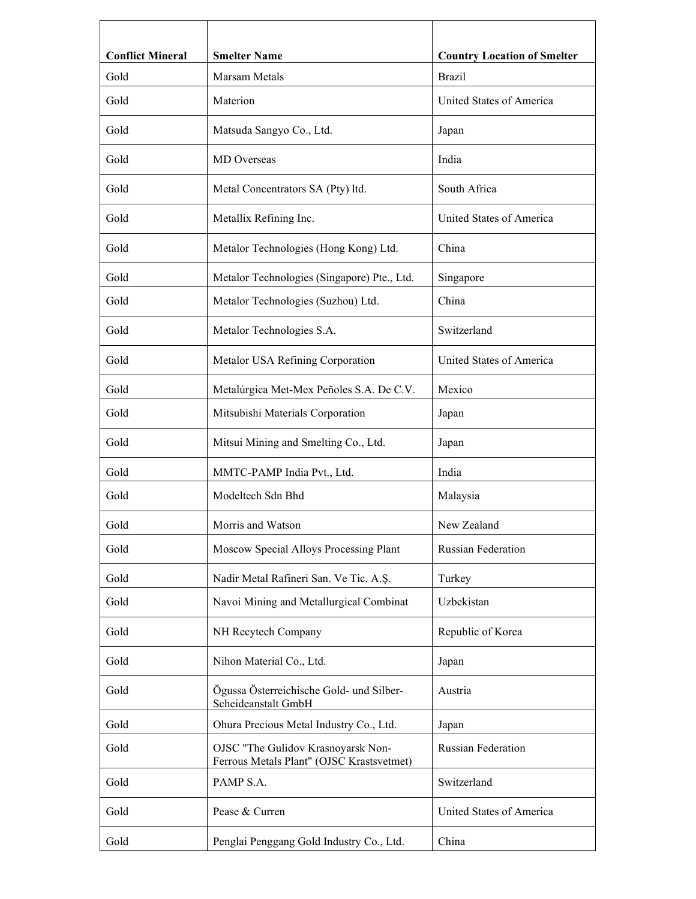| <b>Conflict Mineral</b><br>Gold | <b>Smelter Name</b><br>Marsam Metals                                            | <b>Country Location of Smelter</b><br><b>Brazil</b> |
|---------------------------------|---------------------------------------------------------------------------------|-----------------------------------------------------|
| Gold                            | Materion                                                                        | United States of America                            |
| Gold                            | Matsuda Sangyo Co., Ltd.                                                        | Japan                                               |
| Gold                            | <b>MD</b> Overseas                                                              | India                                               |
| Gold                            | Metal Concentrators SA (Pty) ltd.                                               | South Africa                                        |
| Gold                            | Metallix Refining Inc.                                                          | United States of America                            |
| Gold                            | Metalor Technologies (Hong Kong) Ltd.                                           | China                                               |
| Gold                            | Metalor Technologies (Singapore) Pte., Ltd.                                     | Singapore                                           |
| Gold                            | Metalor Technologies (Suzhou) Ltd.                                              | China                                               |
| Gold                            | Metalor Technologies S.A.                                                       | Switzerland                                         |
| Gold                            | Metalor USA Refining Corporation                                                | United States of America                            |
| Gold                            | Metalúrgica Met-Mex Peñoles S.A. De C.V.                                        | Mexico                                              |
| Gold                            | Mitsubishi Materials Corporation                                                | Japan                                               |
| Gold                            | Mitsui Mining and Smelting Co., Ltd.                                            | Japan                                               |
| Gold                            | MMTC-PAMP India Pvt., Ltd.                                                      | India                                               |
| Gold                            | Modeltech Sdn Bhd                                                               | Malaysia                                            |
| Gold                            | Morris and Watson                                                               | New Zealand                                         |
| Gold                            | Moscow Special Alloys Processing Plant                                          | <b>Russian Federation</b>                           |
| Gold                            | Nadir Metal Rafineri San. Ve Tic. A.Ş.                                          | Turkey                                              |
| Gold                            | Navoi Mining and Metallurgical Combinat                                         | Uzbekistan                                          |
| Gold                            | NH Recytech Company                                                             | Republic of Korea                                   |
| Gold                            | Nihon Material Co., Ltd.                                                        | Japan                                               |
| Gold                            | Ögussa Österreichische Gold- und Silber-<br>Scheideanstalt GmbH                 | Austria                                             |
| Gold                            | Ohura Precious Metal Industry Co., Ltd.                                         | Japan                                               |
| Gold                            | OJSC "The Gulidov Krasnoyarsk Non-<br>Ferrous Metals Plant" (OJSC Krastsvetmet) | Russian Federation                                  |
| Gold                            | PAMP S.A.                                                                       | Switzerland                                         |
| Gold                            | Pease & Curren                                                                  | United States of America                            |
| Gold                            | Penglai Penggang Gold Industry Co., Ltd.                                        | China                                               |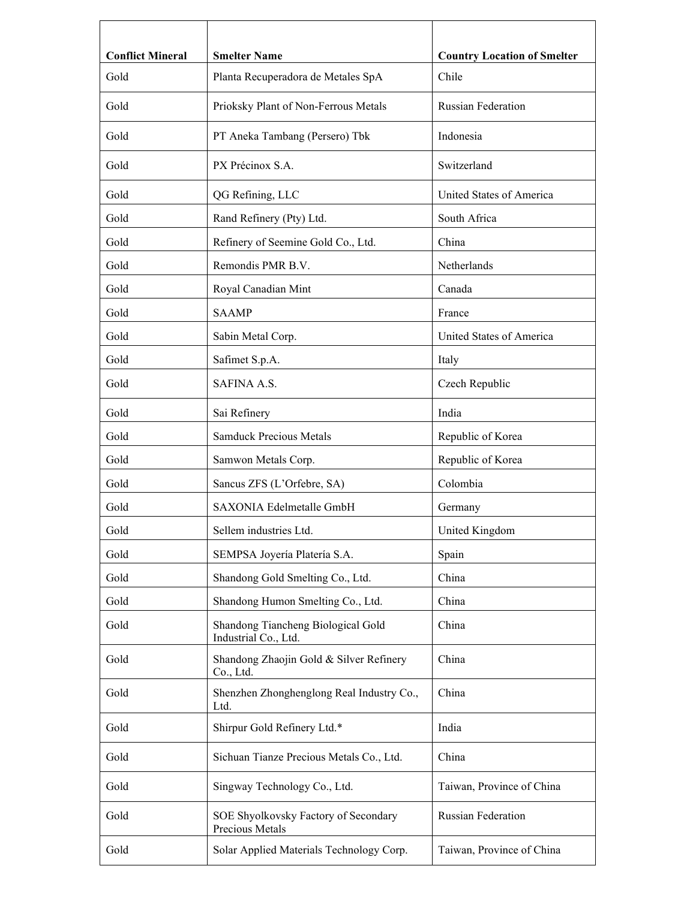| <b>Conflict Mineral</b> | <b>Smelter Name</b>                                        | <b>Country Location of Smelter</b> |
|-------------------------|------------------------------------------------------------|------------------------------------|
| Gold                    | Planta Recuperadora de Metales SpA                         | Chile                              |
| Gold                    | Prioksky Plant of Non-Ferrous Metals                       | <b>Russian Federation</b>          |
| Gold                    | PT Aneka Tambang (Persero) Tbk                             | Indonesia                          |
| Gold                    | PX Précinox S.A.                                           | Switzerland                        |
| Gold                    | QG Refining, LLC                                           | United States of America           |
| Gold                    | Rand Refinery (Pty) Ltd.                                   | South Africa                       |
| Gold                    | Refinery of Seemine Gold Co., Ltd.                         | China                              |
| Gold                    | Remondis PMR B.V.                                          | Netherlands                        |
| Gold                    | Royal Canadian Mint                                        | Canada                             |
| Gold                    | <b>SAAMP</b>                                               | France                             |
| Gold                    | Sabin Metal Corp.                                          | United States of America           |
| Gold                    | Safimet S.p.A.                                             | Italy                              |
| Gold                    | SAFINA A.S.                                                | Czech Republic                     |
| Gold                    | Sai Refinery                                               | India                              |
| Gold                    | <b>Samduck Precious Metals</b>                             | Republic of Korea                  |
| Gold                    | Samwon Metals Corp.                                        | Republic of Korea                  |
| Gold                    | Sancus ZFS (L'Orfebre, SA)                                 | Colombia                           |
| Gold                    | SAXONIA Edelmetalle GmbH                                   | Germany                            |
| Gold                    | Sellem industries Ltd.                                     | United Kingdom                     |
| Gold                    | SEMPSA Joyería Platería S.A.                               | Spain                              |
| Gold                    | Shandong Gold Smelting Co., Ltd.                           | China                              |
| Gold                    | Shandong Humon Smelting Co., Ltd.                          | China                              |
| Gold                    | Shandong Tiancheng Biological Gold<br>Industrial Co., Ltd. | China                              |
| Gold                    | Shandong Zhaojin Gold & Silver Refinery<br>Co., Ltd.       | China                              |
| Gold                    | Shenzhen Zhonghenglong Real Industry Co.,<br>Ltd.          | China                              |
| Gold                    | Shirpur Gold Refinery Ltd.*                                | India                              |
| Gold                    | Sichuan Tianze Precious Metals Co., Ltd.                   | China                              |
| Gold                    | Singway Technology Co., Ltd.                               | Taiwan, Province of China          |
| Gold                    | SOE Shyolkovsky Factory of Secondary<br>Precious Metals    | Russian Federation                 |
| Gold                    | Solar Applied Materials Technology Corp.                   | Taiwan, Province of China          |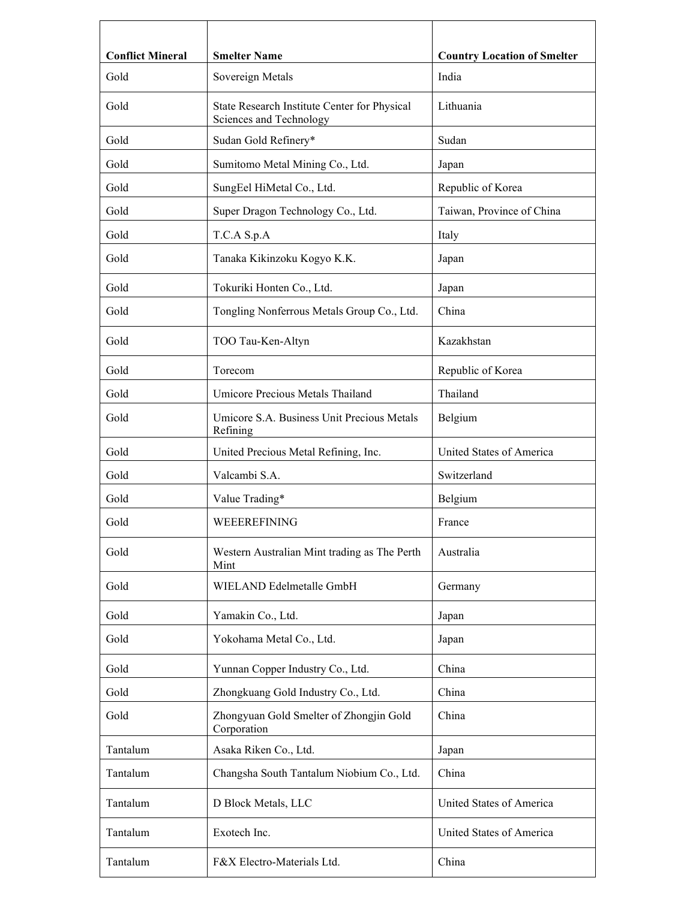| <b>Conflict Mineral</b> | <b>Smelter Name</b>                                                     | <b>Country Location of Smelter</b> |
|-------------------------|-------------------------------------------------------------------------|------------------------------------|
| Gold                    | Sovereign Metals                                                        | India                              |
| Gold                    | State Research Institute Center for Physical<br>Sciences and Technology | Lithuania                          |
| Gold                    | Sudan Gold Refinery*                                                    | Sudan                              |
| Gold                    | Sumitomo Metal Mining Co., Ltd.                                         | Japan                              |
| Gold                    | SungEel HiMetal Co., Ltd.                                               | Republic of Korea                  |
| Gold                    | Super Dragon Technology Co., Ltd.                                       | Taiwan, Province of China          |
| Gold                    | T.C.A S.p.A                                                             | Italy                              |
| Gold                    | Tanaka Kikinzoku Kogyo K.K.                                             | Japan                              |
| Gold                    | Tokuriki Honten Co., Ltd.                                               | Japan                              |
| Gold                    | Tongling Nonferrous Metals Group Co., Ltd.                              | China                              |
| Gold                    | TOO Tau-Ken-Altyn                                                       | Kazakhstan                         |
| Gold                    | Torecom                                                                 | Republic of Korea                  |
| Gold                    | Umicore Precious Metals Thailand                                        | Thailand                           |
| Gold                    | Umicore S.A. Business Unit Precious Metals<br>Refining                  | Belgium                            |
| Gold                    | United Precious Metal Refining, Inc.                                    | United States of America           |
| Gold                    | Valcambi S.A.                                                           | Switzerland                        |
| Gold                    | Value Trading*                                                          | Belgium                            |
| Gold                    | WEEEREFINING                                                            | France                             |
| Gold                    | Western Australian Mint trading as The Perth<br>Mint                    | Australia                          |
| Gold                    | WIELAND Edelmetalle GmbH                                                | Germany                            |
| Gold                    | Yamakin Co., Ltd.                                                       | Japan                              |
| Gold                    | Yokohama Metal Co., Ltd.                                                | Japan                              |
| Gold                    | Yunnan Copper Industry Co., Ltd.                                        | China                              |
| Gold                    | Zhongkuang Gold Industry Co., Ltd.                                      | China                              |
| Gold                    | Zhongyuan Gold Smelter of Zhongjin Gold<br>Corporation                  | China                              |
| Tantalum                | Asaka Riken Co., Ltd.                                                   | Japan                              |
| Tantalum                | Changsha South Tantalum Niobium Co., Ltd.                               | China                              |
| Tantalum                | D Block Metals, LLC                                                     | United States of America           |
| Tantalum                | Exotech Inc.                                                            | United States of America           |
| Tantalum                | F&X Electro-Materials Ltd.                                              | China                              |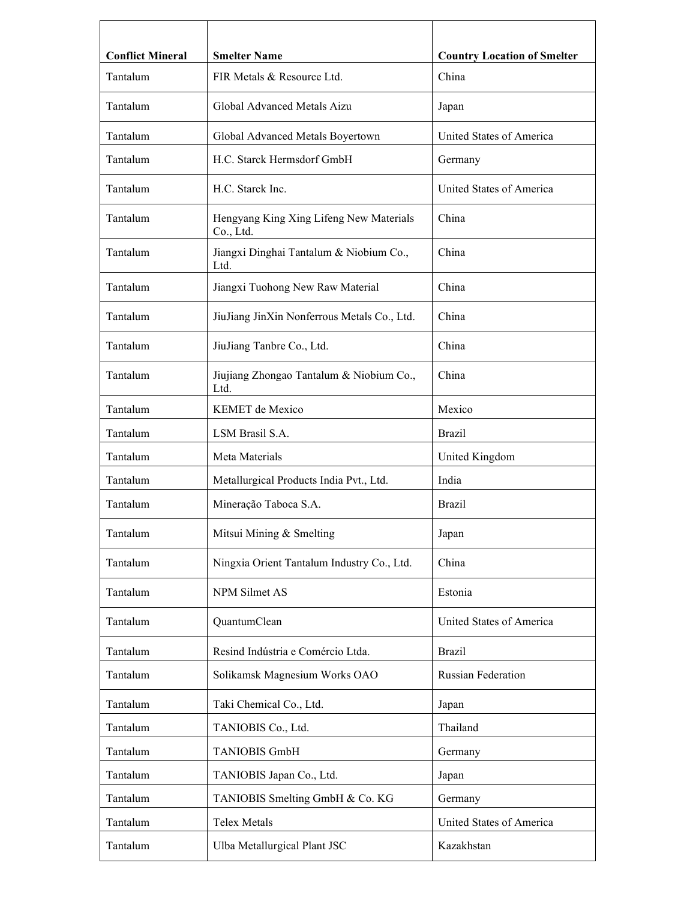| <b>Conflict Mineral</b><br>Tantalum | <b>Smelter Name</b><br>FIR Metals & Resource Ltd.    | <b>Country Location of Smelter</b><br>China |
|-------------------------------------|------------------------------------------------------|---------------------------------------------|
|                                     |                                                      |                                             |
| Tantalum                            | Global Advanced Metals Aizu                          | Japan                                       |
| Tantalum                            | Global Advanced Metals Boyertown                     | United States of America                    |
| Tantalum                            | H.C. Starck Hermsdorf GmbH                           | Germany                                     |
| Tantalum                            | H.C. Starck Inc.                                     | United States of America                    |
| Tantalum                            | Hengyang King Xing Lifeng New Materials<br>Co., Ltd. | China                                       |
| Tantalum                            | Jiangxi Dinghai Tantalum & Niobium Co.,<br>Ltd.      | China                                       |
| Tantalum                            | Jiangxi Tuohong New Raw Material                     | China                                       |
| Tantalum                            | JiuJiang JinXin Nonferrous Metals Co., Ltd.          | China                                       |
| Tantalum                            | JiuJiang Tanbre Co., Ltd.                            | China                                       |
| Tantalum                            | Jiujiang Zhongao Tantalum & Niobium Co.,<br>Ltd.     | China                                       |
| Tantalum                            | KEMET de Mexico                                      | Mexico                                      |
| Tantalum                            | LSM Brasil S.A.                                      | <b>Brazil</b>                               |
| Tantalum                            | Meta Materials                                       | United Kingdom                              |
| Tantalum                            | Metallurgical Products India Pvt., Ltd.              | India                                       |
| Tantalum                            | Mineração Taboca S.A.                                | Brazil                                      |
| Tantalum                            | Mitsui Mining & Smelting                             | Japan                                       |
| Tantalum                            | Ningxia Orient Tantalum Industry Co., Ltd.           | China                                       |
| Tantalum                            | NPM Silmet AS                                        | Estonia                                     |
| Tantalum                            | QuantumClean                                         | United States of America                    |
| Tantalum                            | Resind Indústria e Comércio Ltda.                    | <b>Brazil</b>                               |
| Tantalum                            | Solikamsk Magnesium Works OAO                        | Russian Federation                          |
| Tantalum                            | Taki Chemical Co., Ltd.                              | Japan                                       |
| Tantalum                            | TANIOBIS Co., Ltd.                                   | Thailand                                    |
| Tantalum                            | <b>TANIOBIS GmbH</b>                                 | Germany                                     |
| Tantalum                            | TANIOBIS Japan Co., Ltd.                             | Japan                                       |
| Tantalum                            | TANIOBIS Smelting GmbH & Co. KG                      | Germany                                     |
| Tantalum                            | <b>Telex Metals</b>                                  | United States of America                    |
| Tantalum                            | Ulba Metallurgical Plant JSC                         | Kazakhstan                                  |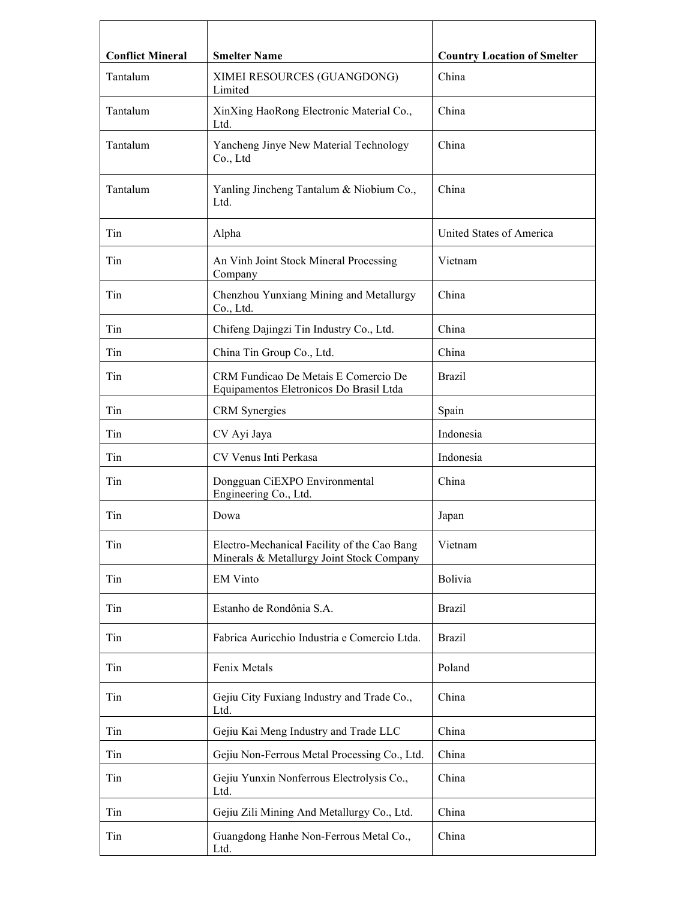| <b>Conflict Mineral</b><br>Tantalum | <b>Smelter Name</b><br>XIMEI RESOURCES (GUANGDONG)                                       | <b>Country Location of Smelter</b><br>China |
|-------------------------------------|------------------------------------------------------------------------------------------|---------------------------------------------|
|                                     | Limited                                                                                  |                                             |
| Tantalum                            | XinXing HaoRong Electronic Material Co.,<br>Ltd.                                         | China                                       |
| Tantalum                            | Yancheng Jinye New Material Technology<br>Co., Ltd                                       | China                                       |
| Tantalum                            | Yanling Jincheng Tantalum & Niobium Co.,<br>Ltd.                                         | China                                       |
| Tin                                 | Alpha                                                                                    | United States of America                    |
| Tin                                 | An Vinh Joint Stock Mineral Processing<br>Company                                        | Vietnam                                     |
| Tin                                 | Chenzhou Yunxiang Mining and Metallurgy<br>Co., Ltd.                                     | China                                       |
| Tin                                 | Chifeng Dajingzi Tin Industry Co., Ltd.                                                  | China                                       |
| Tin                                 | China Tin Group Co., Ltd.                                                                | China                                       |
| Tin                                 | CRM Fundicao De Metais E Comercio De<br>Equipamentos Eletronicos Do Brasil Ltda          | <b>Brazil</b>                               |
| Tin                                 | CRM Synergies                                                                            | Spain                                       |
| Tin                                 | CV Ayi Jaya                                                                              | Indonesia                                   |
| Tin                                 | CV Venus Inti Perkasa                                                                    | Indonesia                                   |
| Tin                                 | Dongguan CiEXPO Environmental<br>Engineering Co., Ltd.                                   | China                                       |
| Tin                                 | Dowa                                                                                     | Japan                                       |
| Tin                                 | Electro-Mechanical Facility of the Cao Bang<br>Minerals & Metallurgy Joint Stock Company | Vietnam                                     |
| Tin                                 | <b>EM Vinto</b>                                                                          | <b>Bolivia</b>                              |
| Tin                                 | Estanho de Rondônia S.A.                                                                 | <b>Brazil</b>                               |
| Tin                                 | Fabrica Auricchio Industria e Comercio Ltda.                                             | <b>Brazil</b>                               |
| Tin                                 | Fenix Metals                                                                             | Poland                                      |
| Tin                                 | Gejiu City Fuxiang Industry and Trade Co.,<br>Ltd.                                       | China                                       |
| Tin                                 | Gejiu Kai Meng Industry and Trade LLC                                                    | China                                       |
| Tin                                 | Gejiu Non-Ferrous Metal Processing Co., Ltd.                                             | China                                       |
| Tin                                 | Gejiu Yunxin Nonferrous Electrolysis Co.,<br>Ltd.                                        | China                                       |
| Tin                                 | Gejiu Zili Mining And Metallurgy Co., Ltd.                                               | China                                       |
| Tin                                 | Guangdong Hanhe Non-Ferrous Metal Co.,<br>Ltd.                                           | China                                       |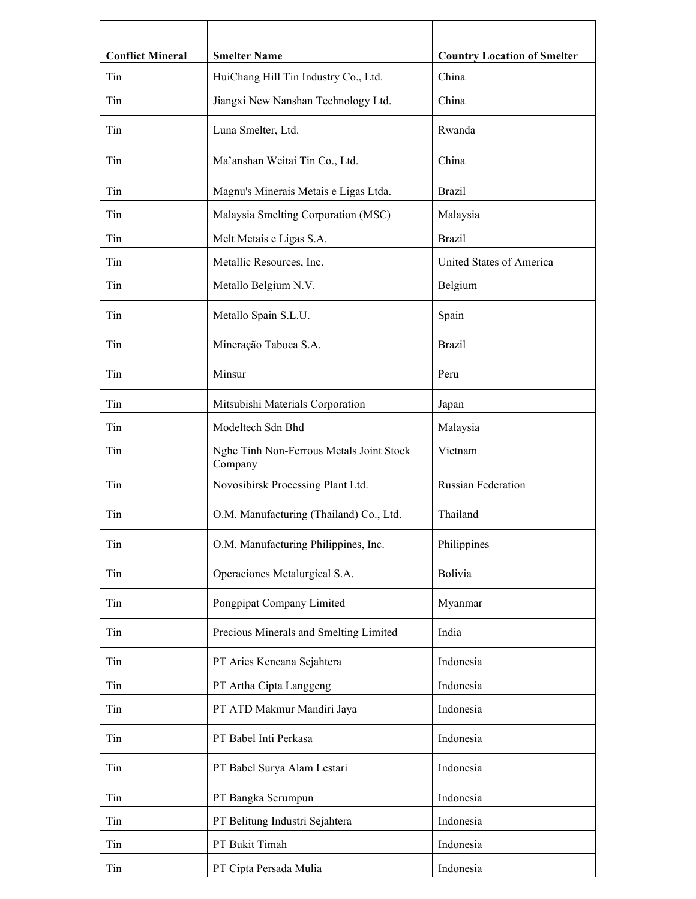| <b>Conflict Mineral</b> | <b>Smelter Name</b>                                 | <b>Country Location of Smelter</b> |
|-------------------------|-----------------------------------------------------|------------------------------------|
| Tin                     | HuiChang Hill Tin Industry Co., Ltd.                | China                              |
| Tin                     | Jiangxi New Nanshan Technology Ltd.                 | China                              |
| Tin                     | Luna Smelter, Ltd.                                  | Rwanda                             |
| Tin                     | Ma'anshan Weitai Tin Co., Ltd.                      | China                              |
| Tin                     | Magnu's Minerais Metais e Ligas Ltda.               | <b>Brazil</b>                      |
| Tin                     | Malaysia Smelting Corporation (MSC)                 | Malaysia                           |
| Tin                     | Melt Metais e Ligas S.A.                            | <b>Brazil</b>                      |
| Tin                     | Metallic Resources, Inc.                            | United States of America           |
| Tin                     | Metallo Belgium N.V.                                | Belgium                            |
| Tin                     | Metallo Spain S.L.U.                                | Spain                              |
| Tin                     | Mineração Taboca S.A.                               | <b>Brazil</b>                      |
| Tin                     | Minsur                                              | Peru                               |
| Tin                     | Mitsubishi Materials Corporation                    | Japan                              |
| Tin                     | Modeltech Sdn Bhd                                   | Malaysia                           |
| Tin                     | Nghe Tinh Non-Ferrous Metals Joint Stock<br>Company | Vietnam                            |
| Tin                     | Novosibirsk Processing Plant Ltd.                   | Russian Federation                 |
| Tin                     | O.M. Manufacturing (Thailand) Co., Ltd.             | Thailand                           |
| Tin                     | O.M. Manufacturing Philippines, Inc.                | Philippines                        |
| Tin                     | Operaciones Metalurgical S.A.                       | <b>Bolivia</b>                     |
| Tin                     | Pongpipat Company Limited                           | Myanmar                            |
| Tin                     | Precious Minerals and Smelting Limited              | India                              |
| Tin                     | PT Aries Kencana Sejahtera                          | Indonesia                          |
| Tin                     | PT Artha Cipta Langgeng                             | Indonesia                          |
| Tin                     | PT ATD Makmur Mandiri Jaya                          | Indonesia                          |
| Tin                     | PT Babel Inti Perkasa                               | Indonesia                          |
| Tin                     | PT Babel Surya Alam Lestari                         | Indonesia                          |
| Tin                     | PT Bangka Serumpun                                  | Indonesia                          |
| Tin                     | PT Belitung Industri Sejahtera                      | Indonesia                          |
| Tin                     | PT Bukit Timah                                      | Indonesia                          |
| Tin                     | PT Cipta Persada Mulia                              | Indonesia                          |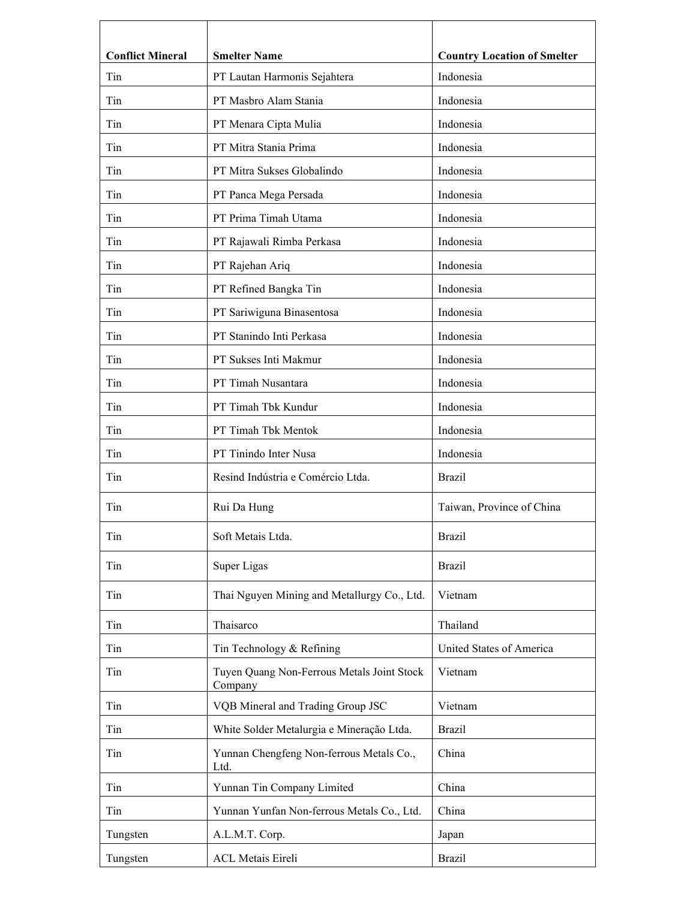| <b>Conflict Mineral</b> | <b>Smelter Name</b>                                   | <b>Country Location of Smelter</b> |
|-------------------------|-------------------------------------------------------|------------------------------------|
| Tin                     | PT Lautan Harmonis Sejahtera                          | Indonesia                          |
| Tin                     | PT Masbro Alam Stania                                 | Indonesia                          |
| Tin                     | PT Menara Cipta Mulia                                 | Indonesia                          |
| Tin                     | PT Mitra Stania Prima                                 | Indonesia                          |
| Tin                     | PT Mitra Sukses Globalindo                            | Indonesia                          |
| Tin                     | PT Panca Mega Persada                                 | Indonesia                          |
| Tin                     | PT Prima Timah Utama                                  | Indonesia                          |
| Tin                     | PT Rajawali Rimba Perkasa                             | Indonesia                          |
| Tin                     | PT Rajehan Ariq                                       | Indonesia                          |
| Tin                     | PT Refined Bangka Tin                                 | Indonesia                          |
| Tin                     | PT Sariwiguna Binasentosa                             | Indonesia                          |
| Tin                     | PT Stanindo Inti Perkasa                              | Indonesia                          |
| Tin                     | PT Sukses Inti Makmur                                 | Indonesia                          |
| Tin                     | PT Timah Nusantara                                    | Indonesia                          |
| Tin                     | PT Timah Tbk Kundur                                   | Indonesia                          |
| Tin                     | PT Timah Tbk Mentok                                   | Indonesia                          |
| Tin                     | PT Tinindo Inter Nusa                                 | Indonesia                          |
| Tin                     | Resind Indústria e Comércio Ltda.                     | <b>Brazil</b>                      |
| Tin                     | Rui Da Hung                                           | Taiwan, Province of China          |
| Tin                     | Soft Metais Ltda.                                     | <b>Brazil</b>                      |
| Tin                     | Super Ligas                                           | <b>Brazil</b>                      |
| Tin                     | Thai Nguyen Mining and Metallurgy Co., Ltd.           | Vietnam                            |
| Tin                     | Thaisarco                                             | Thailand                           |
| Tin                     | Tin Technology & Refining                             | United States of America           |
| Tin                     | Tuyen Quang Non-Ferrous Metals Joint Stock<br>Company | Vietnam                            |
| Tin                     | VQB Mineral and Trading Group JSC                     | Vietnam                            |
| Tin                     | White Solder Metalurgia e Mineração Ltda.             | <b>Brazil</b>                      |
| Tin                     | Yunnan Chengfeng Non-ferrous Metals Co.,<br>Ltd.      | China                              |
| Tin                     | Yunnan Tin Company Limited                            | China                              |
| Tin                     | Yunnan Yunfan Non-ferrous Metals Co., Ltd.            | China                              |
| Tungsten                | A.L.M.T. Corp.                                        | Japan                              |
| Tungsten                | <b>ACL Metais Eireli</b>                              | <b>Brazil</b>                      |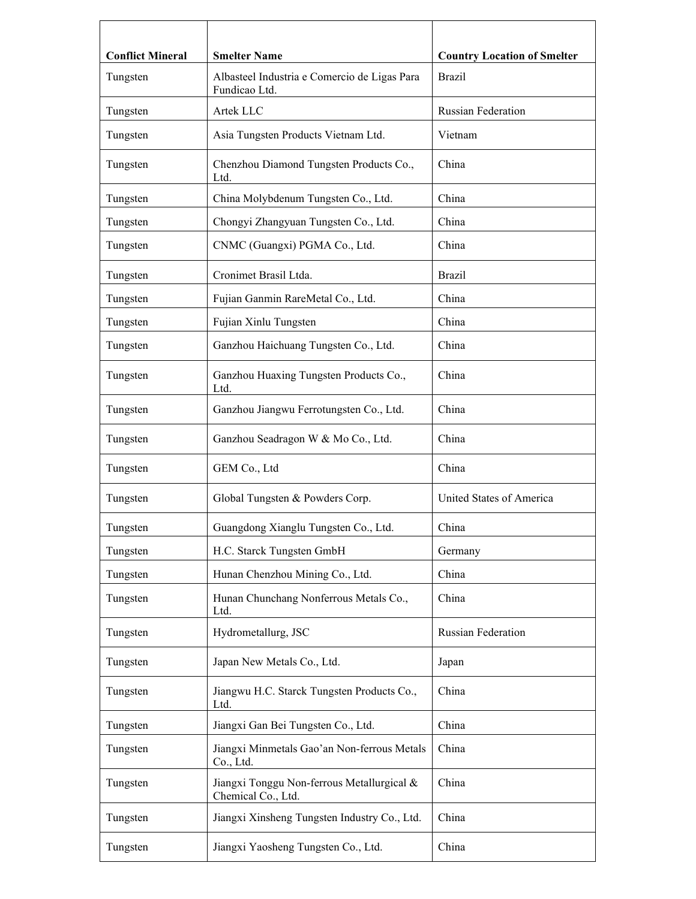| <b>Conflict Mineral</b> | <b>Smelter Name</b>                                              | <b>Country Location of Smelter</b> |
|-------------------------|------------------------------------------------------------------|------------------------------------|
| Tungsten                | Albasteel Industria e Comercio de Ligas Para<br>Fundicao Ltd.    | <b>Brazil</b>                      |
| Tungsten                | Artek LLC                                                        | <b>Russian Federation</b>          |
| Tungsten                | Asia Tungsten Products Vietnam Ltd.                              | Vietnam                            |
| Tungsten                | Chenzhou Diamond Tungsten Products Co.,<br>Ltd.                  | China                              |
| Tungsten                | China Molybdenum Tungsten Co., Ltd.                              | China                              |
| Tungsten                | Chongyi Zhangyuan Tungsten Co., Ltd.                             | China                              |
| Tungsten                | CNMC (Guangxi) PGMA Co., Ltd.                                    | China                              |
| Tungsten                | Cronimet Brasil Ltda.                                            | <b>Brazil</b>                      |
| Tungsten                | Fujian Ganmin RareMetal Co., Ltd.                                | China                              |
| Tungsten                | Fujian Xinlu Tungsten                                            | China                              |
| Tungsten                | Ganzhou Haichuang Tungsten Co., Ltd.                             | China                              |
| Tungsten                | Ganzhou Huaxing Tungsten Products Co.,<br>Ltd.                   | China                              |
| Tungsten                | Ganzhou Jiangwu Ferrotungsten Co., Ltd.                          | China                              |
| Tungsten                | Ganzhou Seadragon W & Mo Co., Ltd.                               | China                              |
| Tungsten                | GEM Co., Ltd                                                     | China                              |
| Tungsten                | Global Tungsten & Powders Corp.                                  | United States of America           |
| Tungsten                | Guangdong Xianglu Tungsten Co., Ltd.                             | China                              |
| Tungsten                | H.C. Starck Tungsten GmbH                                        | Germany                            |
| Tungsten                | Hunan Chenzhou Mining Co., Ltd.                                  | China                              |
| Tungsten                | Hunan Chunchang Nonferrous Metals Co.,<br>Ltd.                   | China                              |
| Tungsten                | Hydrometallurg, JSC                                              | Russian Federation                 |
| Tungsten                | Japan New Metals Co., Ltd.                                       | Japan                              |
| Tungsten                | Jiangwu H.C. Starck Tungsten Products Co.,<br>Ltd.               | China                              |
| Tungsten                | Jiangxi Gan Bei Tungsten Co., Ltd.                               | China                              |
| Tungsten                | Jiangxi Minmetals Gao'an Non-ferrous Metals<br>Co., Ltd.         | China                              |
| Tungsten                | Jiangxi Tonggu Non-ferrous Metallurgical &<br>Chemical Co., Ltd. | China                              |
| Tungsten                | Jiangxi Xinsheng Tungsten Industry Co., Ltd.                     | China                              |
| Tungsten                | Jiangxi Yaosheng Tungsten Co., Ltd.                              | China                              |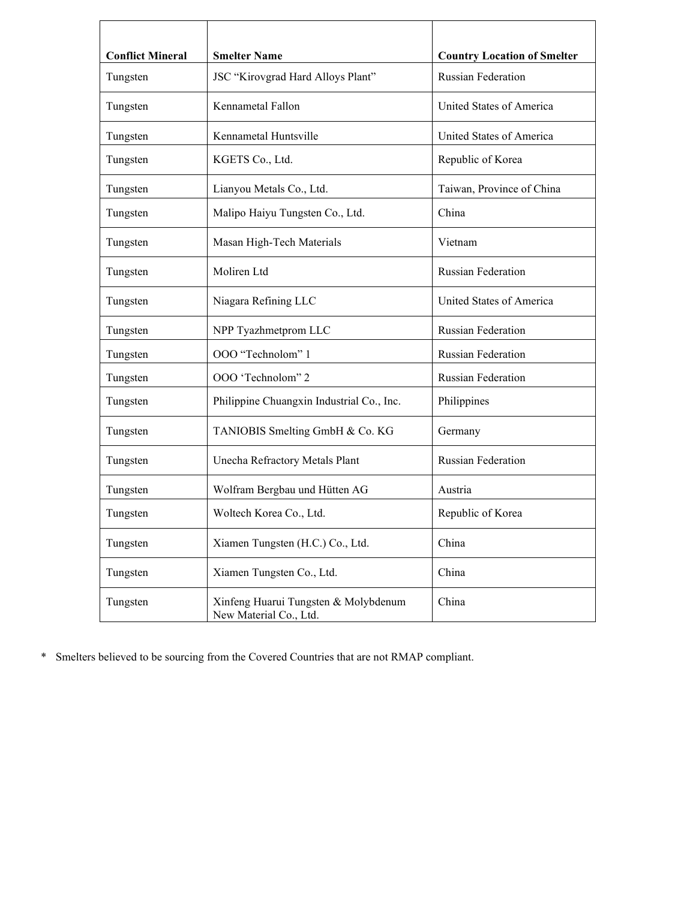| <b>Conflict Mineral</b> | <b>Smelter Name</b>                                            | <b>Country Location of Smelter</b> |
|-------------------------|----------------------------------------------------------------|------------------------------------|
| Tungsten                | JSC "Kirovgrad Hard Alloys Plant"                              | <b>Russian Federation</b>          |
| Tungsten                | Kennametal Fallon                                              | United States of America           |
| Tungsten                | Kennametal Huntsville                                          | United States of America           |
| Tungsten                | KGETS Co., Ltd.                                                | Republic of Korea                  |
| Tungsten                | Lianyou Metals Co., Ltd.                                       | Taiwan, Province of China          |
| Tungsten                | Malipo Haiyu Tungsten Co., Ltd.                                | China                              |
| Tungsten                | Masan High-Tech Materials                                      | Vietnam                            |
| Tungsten                | Moliren Ltd                                                    | <b>Russian Federation</b>          |
| Tungsten                | Niagara Refining LLC                                           | United States of America           |
| Tungsten                | NPP Tyazhmetprom LLC                                           | <b>Russian Federation</b>          |
| Tungsten                | OOO "Technolom" 1                                              | <b>Russian Federation</b>          |
| Tungsten                | OOO 'Technolom" 2                                              | <b>Russian Federation</b>          |
| Tungsten                | Philippine Chuangxin Industrial Co., Inc.                      | Philippines                        |
| Tungsten                | TANIOBIS Smelting GmbH & Co. KG                                | Germany                            |
| Tungsten                | Unecha Refractory Metals Plant                                 | <b>Russian Federation</b>          |
| Tungsten                | Wolfram Bergbau und Hütten AG                                  | Austria                            |
| Tungsten                | Woltech Korea Co., Ltd.                                        | Republic of Korea                  |
| Tungsten                | Xiamen Tungsten (H.C.) Co., Ltd.                               | China                              |
| Tungsten                | Xiamen Tungsten Co., Ltd.                                      | China                              |
| Tungsten                | Xinfeng Huarui Tungsten & Molybdenum<br>New Material Co., Ltd. | China                              |

\* Smelters believed to be sourcing from the Covered Countries that are not RMAP compliant.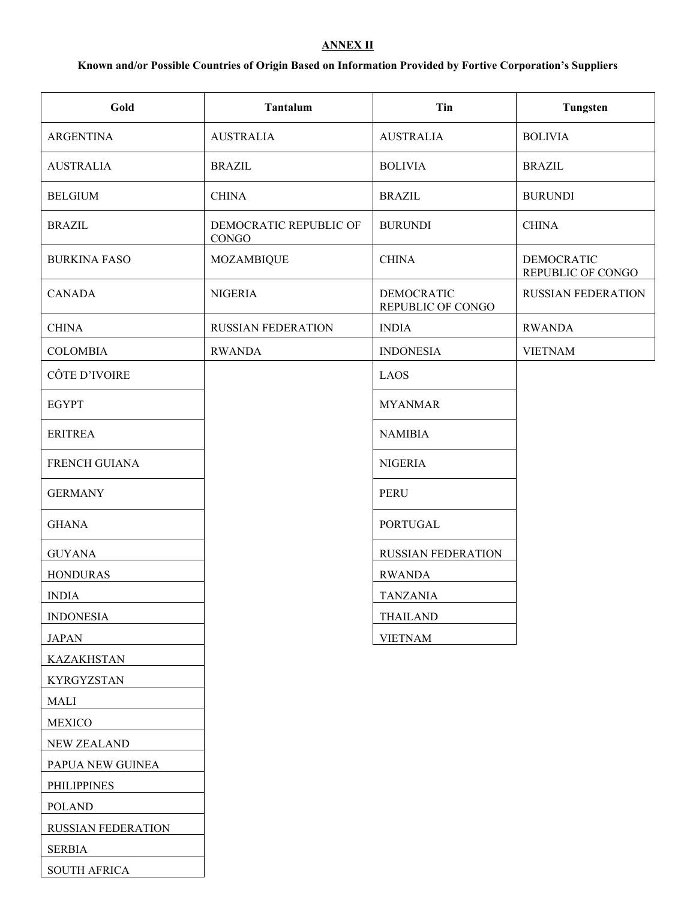## **ANNEX II**

# **Known and/or Possible Countries of Origin Based on Information Provided by Fortive Corporation's Suppliers**

| Gold                 | Tantalum                        | Tin                                    | Tungsten                               |
|----------------------|---------------------------------|----------------------------------------|----------------------------------------|
| <b>ARGENTINA</b>     | <b>AUSTRALIA</b>                | <b>AUSTRALIA</b>                       | <b>BOLIVIA</b>                         |
| <b>AUSTRALIA</b>     | <b>BRAZIL</b>                   | <b>BOLIVIA</b>                         | <b>BRAZIL</b>                          |
| <b>BELGIUM</b>       | <b>CHINA</b>                    | <b>BRAZIL</b>                          | <b>BURUNDI</b>                         |
| <b>BRAZIL</b>        | DEMOCRATIC REPUBLIC OF<br>CONGO | <b>BURUNDI</b>                         | <b>CHINA</b>                           |
| <b>BURKINA FASO</b>  | <b>MOZAMBIQUE</b>               | <b>CHINA</b>                           | <b>DEMOCRATIC</b><br>REPUBLIC OF CONGO |
| <b>CANADA</b>        | <b>NIGERIA</b>                  | <b>DEMOCRATIC</b><br>REPUBLIC OF CONGO | <b>RUSSIAN FEDERATION</b>              |
| <b>CHINA</b>         | <b>RUSSIAN FEDERATION</b>       | <b>INDIA</b>                           | <b>RWANDA</b>                          |
| <b>COLOMBIA</b>      | <b>RWANDA</b>                   | <b>INDONESIA</b>                       | <b>VIETNAM</b>                         |
| CÔTE D'IVOIRE        |                                 | LAOS                                   |                                        |
| <b>EGYPT</b>         |                                 | <b>MYANMAR</b>                         |                                        |
| <b>ERITREA</b>       |                                 | <b>NAMIBIA</b>                         |                                        |
| <b>FRENCH GUIANA</b> |                                 | <b>NIGERIA</b>                         |                                        |
| <b>GERMANY</b>       |                                 | <b>PERU</b>                            |                                        |
| <b>GHANA</b>         |                                 | <b>PORTUGAL</b>                        |                                        |
| <b>GUYANA</b>        |                                 | <b>RUSSIAN FEDERATION</b>              |                                        |
| <b>HONDURAS</b>      |                                 | <b>RWANDA</b>                          |                                        |
| <b>INDIA</b>         |                                 | TANZANIA                               |                                        |
| <b>INDONESIA</b>     |                                 | <b>THAILAND</b>                        |                                        |
| <b>JAPAN</b>         |                                 | <b>VIETNAM</b>                         |                                        |
| <b>KAZAKHSTAN</b>    |                                 |                                        |                                        |
| <b>KYRGYZSTAN</b>    |                                 |                                        |                                        |
| MALI                 |                                 |                                        |                                        |
| <b>MEXICO</b>        |                                 |                                        |                                        |
| <b>NEW ZEALAND</b>   |                                 |                                        |                                        |
| PAPUA NEW GUINEA     |                                 |                                        |                                        |
| <b>PHILIPPINES</b>   |                                 |                                        |                                        |
| <b>POLAND</b>        |                                 |                                        |                                        |
| RUSSIAN FEDERATION   |                                 |                                        |                                        |
| <b>SERBIA</b>        |                                 |                                        |                                        |
| <b>SOUTH AFRICA</b>  |                                 |                                        |                                        |